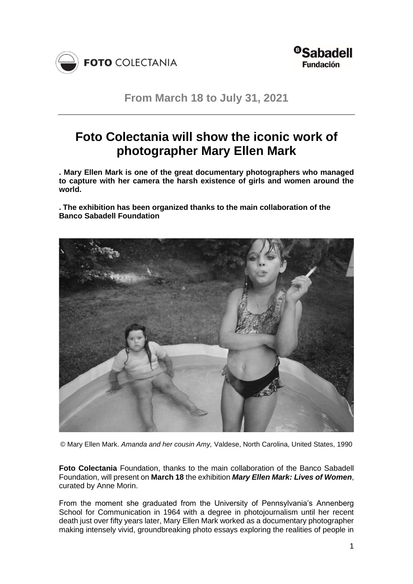



**From March 18 to July 31, 2021**

# **Foto Colectania will show the iconic work of photographer Mary Ellen Mark**

**. Mary Ellen Mark is one of the great documentary photographers who managed to capture with her camera the harsh existence of girls and women around the world.**

**. The exhibition has been organized thanks to the main collaboration of the Banco Sabadell Foundation**



© Mary Ellen Mark. *Amanda and her cousin Amy,* Valdese, North Carolina, United States, 1990

**Foto Colectania** Foundation, thanks to the main collaboration of the Banco Sabadell Foundation, will present on **March 18** the exhibition *Mary Ellen Mark: Lives of Women*, curated by Anne Morin.

From the moment she graduated from the University of Pennsylvania's Annenberg School for Communication in 1964 with a degree in photojournalism until her recent death just over fifty years later, Mary Ellen Mark worked as a documentary photographer making intensely vivid, groundbreaking photo essays exploring the realities of people in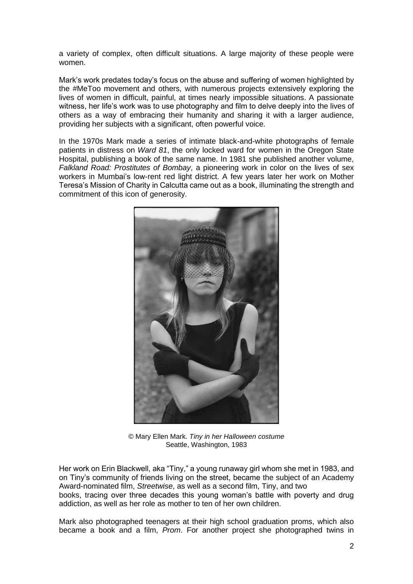a variety of complex, often difficult situations. A large majority of these people were women.

Mark's work predates today's focus on the abuse and suffering of women highlighted by the #MeToo movement and others, with numerous projects extensively exploring the lives of women in difficult, painful, at times nearly impossible situations. A passionate witness, her life's work was to use photography and film to delve deeply into the lives of others as a way of embracing their humanity and sharing it with a larger audience, providing her subjects with a significant, often powerful voice.

In the 1970s Mark made a series of intimate black-and-white photographs of female patients in distress on *Ward 81*, the only locked ward for women in the Oregon State Hospital, publishing a book of the same name. In 1981 she published another volume, *Falkland Road: Prostitutes of Bombay*, a pioneering work in color on the lives of sex workers in Mumbai's low-rent red light district. A few years later her work on Mother Teresa's Mission of Charity in Calcutta came out as a book, illuminating the strength and commitment of this icon of generosity.



© Mary Ellen Mark. *Tiny in her Halloween costume* Seattle, Washington, 1983

Her work on Erin Blackwell, aka "Tiny," a young runaway girl whom she met in 1983, and on Tiny's community of friends living on the street, became the subject of an Academy Award-nominated film, *Streetwise*, as well as a second film, Tiny, and two books, tracing over three decades this young woman's battle with poverty and drug addiction, as well as her role as mother to ten of her own children.

Mark also photographed teenagers at their high school graduation proms, which also became a book and a film, *Prom*. For another project she photographed twins in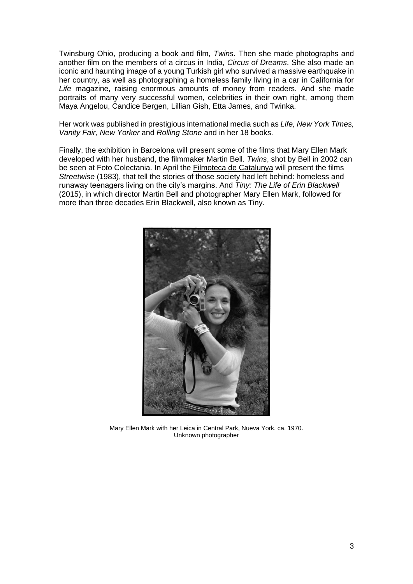Twinsburg Ohio, producing a book and film, *Twins*. Then she made photographs and another film on the members of a circus in India, *Circus of Dreams*. She also made an iconic and haunting image of a young Turkish girl who survived a massive earthquake in her country, as well as photographing a homeless family living in a car in California for *Life* magazine, raising enormous amounts of money from readers. And she made portraits of many very successful women, celebrities in their own right, among them Maya Angelou, Candice Bergen, Lillian Gish, Etta James, and Twinka.

Her work was published in prestigious international media such as *Life, New York Times, Vanity Fair, New Yorker* and *Rolling Stone* and in her 18 books.

Finally, the exhibition in Barcelona will present some of the films that Mary Ellen Mark developed with her husband, the filmmaker Martin Bell. *Twins*, shot by Bell in 2002 can be seen at Foto Colectania. In April the **Filmoteca de Catalunya will present the films** *Streetwise* (1983), that tell the stories of those society had left behind: homeless and runaway teenagers living on the city's margins. And *Tiny: The Life of Erin Blackwell* (2015), in which director Martin Bell and photographer Mary Ellen Mark, followed for more than three decades Erin Blackwell, also known as Tiny.



Mary Ellen Mark with her Leica in Central Park, Nueva York, ca. 1970. Unknown photographer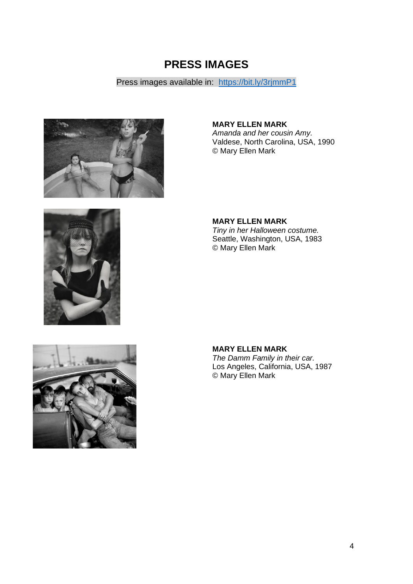# **PRESS IMAGES**

# Press images available in: <https://bit.ly/3rjmmP1>



**MARY ELLEN MARK** *Amanda and her cousin Amy.* 

Valdese, North Carolina, USA, 1990 © Mary Ellen Mark



**MARY ELLEN MARK** *Tiny in her Halloween costume.*  Seattle, Washington, USA, 1983 © Mary Ellen Mark



**MARY ELLEN MARK**

*The Damm Family in their car.*  Los Angeles, California, USA, 1987 © Mary Ellen Mark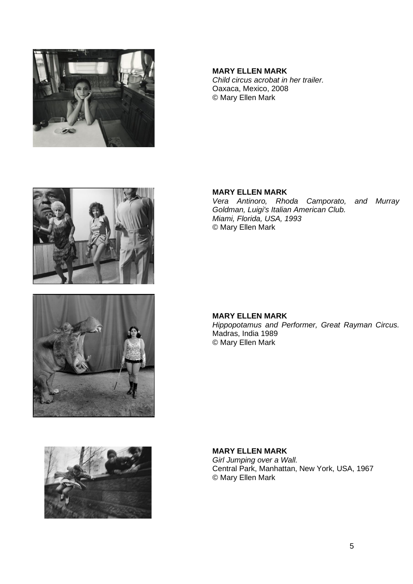



*Child circus acrobat in her trailer.*  Oaxaca, Mexico, 2008 © Mary Ellen Mark

#### **MARY ELLEN MARK**

*Vera Antinoro, Rhoda Camporato, and Murray Goldman, Luigi's Italian American Club. Miami, Florida, USA, 1993*  © Mary Ellen Mark



**MARY ELLEN MARK** *Hippopotamus and Performer, Great Rayman Circus.*  Madras, India 1989 © Mary Ellen Mark

#### **MARY ELLEN MARK**

*Girl Jumping over a Wall.*  Central Park, Manhattan, New York, USA, 1967 © Mary Ellen Mark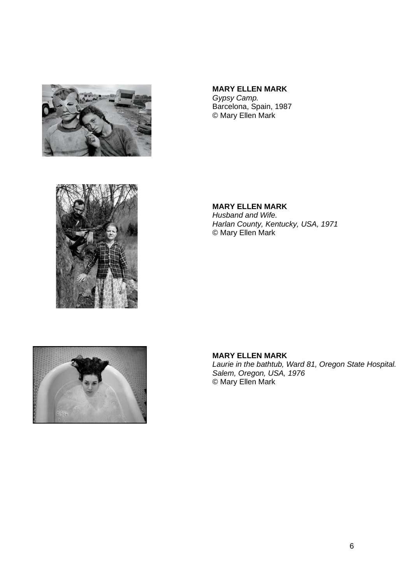

## **MARY ELLEN MARK**

*Gypsy Camp.*  Barcelona, Spain, 1987 © Mary Ellen Mark



**MARY ELLEN MARK** *Husband and Wife. Harlan County, Kentucky, USA, 1971*  © Mary Ellen Mark



## **MARY ELLEN MARK**

*Laurie in the bathtub, Ward 81, Oregon State Hospital. Salem, Oregon, USA, 1976*  © Mary Ellen Mark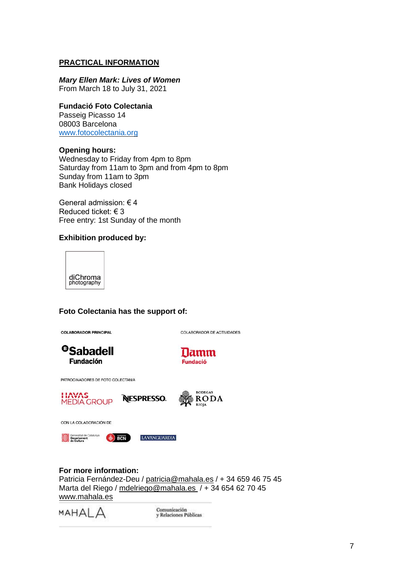#### **PRACTICAL INFORMATION**

### *Mary Ellen Mark: Lives of Women*

From March 18 to July 31, 2021

#### **Fundació Foto Colectania**

Passeig Picasso 14 08003 Barcelona [www.fotocolectania.org](http://www.fotocolectania.org/)

#### **Opening hours:**

Wednesday to Friday from 4pm to 8pm Saturday from 11am to 3pm and from 4pm to 8pm Sunday from 11am to 3pm Bank Holidays closed

General admission: € 4 Reduced ticket: € 3 Free entry: 1st Sunday of the month

#### **Exhibition produced by:**



#### **Foto Colectania has the support of:**

COLABORADOR PRINCIPAL

COLABORADOR DE ACTIVIDADES





PATROCINADORES DE FOTO COLECTANIA





CON LA COLABORACIÓN DE



**LAVANGUARDIA** 

**NESPRESSO.** 

#### **For more information:**

Patricia Fernández-Deu / [patricia@mahala.es](mailto:patricia@mahala.es) / + 34 659 46 75 45 Marta del Riego / [mdelriego@mahala.es](mailto:mdelriego@mahala.es) / + 34 654 62 70 45 [www.mahala.es](http://www.mahala.es/)

MAHAI A

Comunicación<br>y Relaciones Públicas